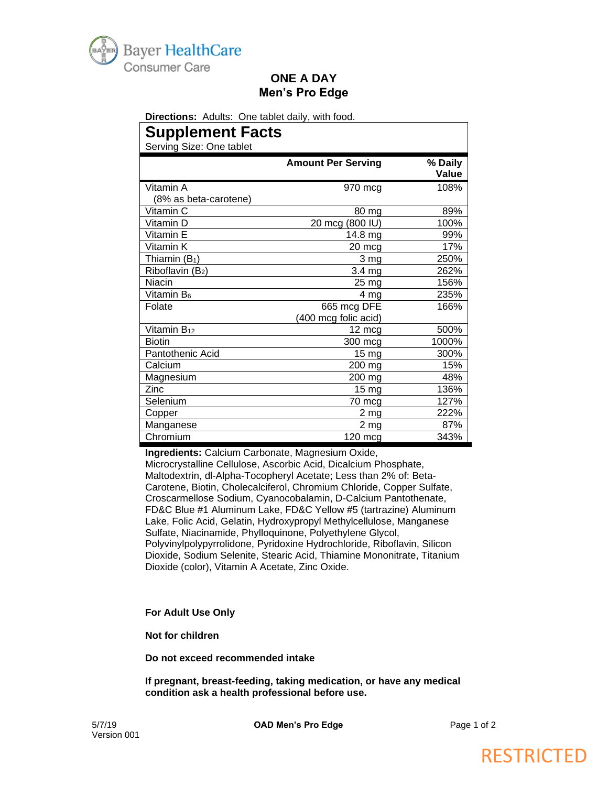

### **ONE A DAY Men's Pro Edge**

**Directions:** Adults: One tablet daily, with food.

# **Supplement Facts**

Serving Size: One tablet

| ספו אוווא סובפ. סוופ נמטופו |                           |                  |
|-----------------------------|---------------------------|------------------|
|                             | <b>Amount Per Serving</b> | % Daily<br>Value |
| Vitamin A                   | 970 mcg                   | 108%             |
| (8% as beta-carotene)       |                           |                  |
| Vitamin C                   | 80 mg                     | 89%              |
| Vitamin D                   | 20 mcg (800 IU)           | 100%             |
| Vitamin E                   | 14.8 mg                   | 99%              |
| Vitamin K                   | 20 mcg                    | 17%              |
| Thiamin $(B_1)$             | 3 mg                      | 250%             |
| Riboflavin (B2)             | 3.4 mg                    | 262%             |
| Niacin                      | 25 mg                     | 156%             |
| Vitamin B <sub>6</sub>      | 4 mg                      | 235%             |
| Folate                      | 665 mcg DFE               | 166%             |
|                             | (400 mcg folic acid)      |                  |
| Vitamin $B_{12}$            | 12 mcg                    | 500%             |
| <b>Biotin</b>               | 300 mcg                   | 1000%            |
| Pantothenic Acid            | 15 mg                     | 300%             |
| Calcium                     | 200 mg                    | 15%              |
| Magnesium                   | 200 mg                    | 48%              |
| Zinc                        | 15 mg                     | 136%             |
| Selenium                    | 70 mcg                    | 127%             |
| Copper                      | 2 mg                      | 222%             |
| Manganese                   | $2$ mg                    | 87%              |
| Chromium                    | 120 mcg                   | 343%             |

**Ingredients:** Calcium Carbonate, Magnesium Oxide,

Microcrystalline Cellulose, Ascorbic Acid, Dicalcium Phosphate, Maltodextrin, dl-Alpha-Tocopheryl Acetate; Less than 2% of: Beta-Carotene, Biotin, Cholecalciferol, Chromium Chloride, Copper Sulfate, Croscarmellose Sodium, Cyanocobalamin, D-Calcium Pantothenate, FD&C Blue #1 Aluminum Lake, FD&C Yellow #5 (tartrazine) Aluminum Lake, Folic Acid, Gelatin, Hydroxypropyl Methylcellulose, Manganese Sulfate, Niacinamide, Phylloquinone, Polyethylene Glycol, Polyvinylpolypyrrolidone, Pyridoxine Hydrochloride, Riboflavin, Silicon Dioxide, Sodium Selenite, Stearic Acid, Thiamine Mononitrate, Titanium Dioxide (color), Vitamin A Acetate, Zinc Oxide.

**For Adult Use Only**

**Not for children** 

**Do not exceed recommended intake**

**If pregnant, breast-feeding, taking medication, or have any medical condition ask a health professional before use.**

5/7/19 **OAD Men's Pro Edge** Page 1 of 2